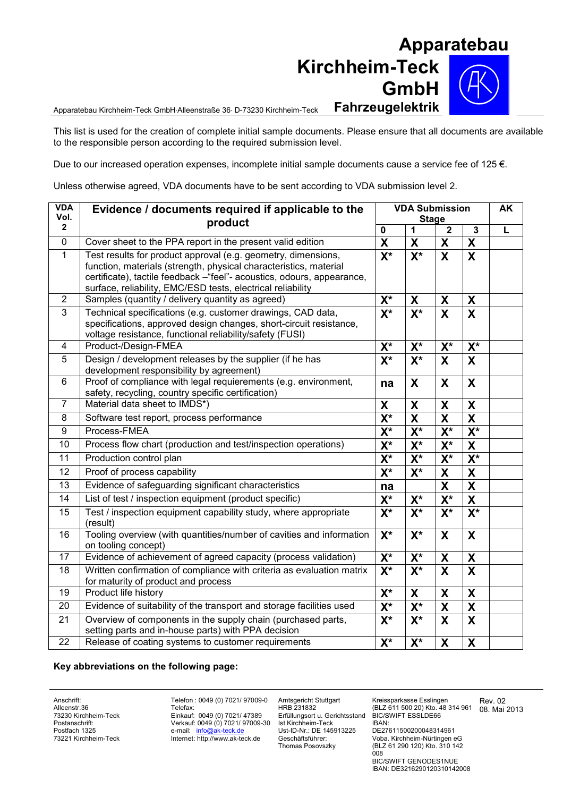## **Apparatebau Kirchheim-Teck GmbH**

Apparatebau Kirchheim-Teck GmbHAlleenstraße 36 D-73230 Kirchheim-Teck **Fahrzeugelektrik**

This list is used for the creation of complete initial sample documents. Please ensure that all documents are available to the responsible person according to the required submission level.

Due to our increased operation expenses, incomplete initial sample documents cause a service fee of 125  $\epsilon$ .

Unless otherwise agreed, VDA documents have to be sent according to VDA submission level 2.

| <b>VDA</b><br>Vol.<br>$\mathbf{2}$ | Evidence / documents required if applicable to the<br>product                                                                                                                                                                                                               | <b>VDA Submission</b><br><b>Stage</b> |                           |                           |                         | <b>AK</b> |
|------------------------------------|-----------------------------------------------------------------------------------------------------------------------------------------------------------------------------------------------------------------------------------------------------------------------------|---------------------------------------|---------------------------|---------------------------|-------------------------|-----------|
|                                    |                                                                                                                                                                                                                                                                             | $\mathbf 0$                           | 1                         | $\overline{2}$            | $\mathbf{3}$            | L         |
| $\mathbf 0$                        | Cover sheet to the PPA report in the present valid edition                                                                                                                                                                                                                  | $\overline{\mathbf{X}}$               | $\boldsymbol{\mathsf{X}}$ | $\boldsymbol{\mathsf{X}}$ | X                       |           |
| $\mathbf{1}$                       | Test results for product approval (e.g. geometry, dimensions,<br>function, materials (strength, physical characteristics, material<br>certificate), tactile feedback -"feel"- acoustics, odours, appearance,<br>surface, reliability, EMC/ESD tests, electrical reliability | $\overline{\mathbf{X}^*}$             | $\overline{\mathsf{X}^*}$ | $\overline{\mathbf{X}}$   | $\overline{\mathbf{x}}$ |           |
| 2                                  | Samples (quantity / delivery quantity as agreed)                                                                                                                                                                                                                            | $X^*$                                 | X                         | X                         | X                       |           |
| 3                                  | Technical specifications (e.g. customer drawings, CAD data,<br>specifications, approved design changes, short-circuit resistance,<br>voltage resistance, functional reliability/safety (FUSI)                                                                               | $X^*$                                 | $X^*$                     | $\boldsymbol{\mathsf{X}}$ | X                       |           |
| 4                                  | Product-/Design-FMEA                                                                                                                                                                                                                                                        | $X^*$                                 | $X^*$                     | $X^*$                     | $X^*$                   |           |
| 5                                  | Design / development releases by the supplier (if he has<br>development responsibility by agreement)                                                                                                                                                                        | $X^*$                                 | $X^*$                     | $\mathbf{x}$              | X                       |           |
| 6                                  | Proof of compliance with legal requierements (e.g. environment,<br>safety, recycling, country specific certification)                                                                                                                                                       | na                                    | X                         | X                         | X                       |           |
| $\overline{7}$                     | Material data sheet to IMDS*)                                                                                                                                                                                                                                               | X                                     | X                         | X                         | X                       |           |
| 8                                  | Software test report, process performance                                                                                                                                                                                                                                   | $X^*$                                 | X                         | $\boldsymbol{X}$          | X                       |           |
| 9                                  | Process-FMEA                                                                                                                                                                                                                                                                | $X^*$                                 | $X^*$                     | $X^*$                     | $X^*$                   |           |
| 10                                 | Process flow chart (production and test/inspection operations)                                                                                                                                                                                                              | $\overline{\mathsf{X}^*}$             | $X^*$                     | $X^*$                     | X                       |           |
| 11                                 | Production control plan                                                                                                                                                                                                                                                     | $\overline{\mathsf{X}^*}$             | $\overline{\mathsf{X}^*}$ | $\mathsf{X}^\star$        | $X^*$                   |           |
| 12                                 | Proof of process capability                                                                                                                                                                                                                                                 | $X^*$                                 | $X^*$                     | $\pmb{\mathsf{X}}$        | X                       |           |
| 13                                 | Evidence of safeguarding significant characteristics                                                                                                                                                                                                                        | na                                    |                           | X                         | $\mathsf{X}$            |           |
| 14                                 | List of test / inspection equipment (product specific)                                                                                                                                                                                                                      | $X^*$                                 | $X^*$                     | $X^*$                     | X                       |           |
| 15                                 | Test / inspection equipment capability study, where appropriate<br>(result)                                                                                                                                                                                                 | $\overline{\mathbf{X}^*}$             | $X^*$                     | $X^*$                     | $X^*$                   |           |
| 16                                 | Tooling overview (with quantities/number of cavities and information<br>on tooling concept)                                                                                                                                                                                 | $X^*$                                 | $X^*$                     | $\boldsymbol{\mathsf{X}}$ | X                       |           |
| 17                                 | Evidence of achievement of agreed capacity (process validation)                                                                                                                                                                                                             | $X^*$                                 | $X^*$                     | X                         | X                       |           |
| $\overline{18}$                    | Written confirmation of compliance with criteria as evaluation matrix<br>for maturity of product and process                                                                                                                                                                | $\overline{\mathsf{X}^*}$             | $\overline{\mathsf{X}^*}$ | $\overline{\mathbf{x}}$   | $\mathbf x$             |           |
| 19                                 | Product life history                                                                                                                                                                                                                                                        | $X^*$                                 | X                         | X                         | X                       |           |
| 20                                 | Evidence of suitability of the transport and storage facilities used                                                                                                                                                                                                        | $\overline{\mathsf{X}^*}$             | $\overline{\mathsf{X}^*}$ | $\boldsymbol{\mathsf{X}}$ | X                       |           |
| 21                                 | Overview of components in the supply chain (purchased parts,<br>setting parts and in-house parts) with PPA decision                                                                                                                                                         | $X^*$                                 | $X^*$                     | $\boldsymbol{\mathsf{X}}$ | $\mathbf x$             |           |
| $\overline{22}$                    | Release of coating systems to customer requirements                                                                                                                                                                                                                         | $\overline{\mathsf{X}^*}$             | $\overline{\mathsf{X}^*}$ | $\boldsymbol{\mathsf{X}}$ | X                       |           |

## **Key abbreviations on the following page:**

Anschrift: Alleenstr.36 73230 Kirchheim-Teck Postanschrift: Postfach 1325 73221 Kirchheim-Teck Telefon : 0049 (0) 7021/ 97009-0 Telefax: Einkauf: 0049 (0) 7021/ 47389 Verkauf: 0049 (0) 7021/ 97009-30 e-mail: info@ak-teck.de Internet: http://www.ak-teck.de

Amtsgericht Stuttgart HRB 231832 Erfüllungsort u. Gerichtsstand Ist Kirchheim-Teck Ust-ID-Nr.: DE 145913225 Geschäftsführer: Thomas Posovszky

Kreissparkasse Esslingen (BLZ 611 500 20) Kto. 48 314 961 BIC/SWIFT ESSLDE66

Rev. 02 08. Mai 2013

IBAN: DE27611500200048314961 Voba. Kirchheim-Nürtingen eG (BLZ 61 290 120) Kto. 310 142  $008$ 

BIC/SWIFT GENODES1NUE IBAN: DE3216290120310142008